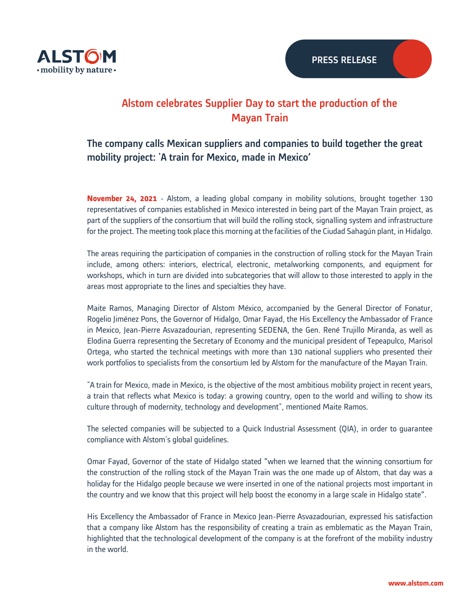

# Alstom celebrates Supplier Day to start the production of the Mayan Train

# The company calls Mexican suppliers and companies to build together the great mobility project: 'A train for Mexico, made in Mexico'

**November 24, 2021** - Alstom, a leading global company in mobility solutions, brought together 130 representatives of companies established in Mexico interested in being part of the Mayan Train project, as part of the suppliers of the consortium that will build the rolling stock, signalling system and infrastructure for the project. The meeting took place this morning at the facilities of the Ciudad Sahagún plant, in Hidalgo.

The areas requiring the participation of companies in the construction of rolling stock for the Mayan Train include, among others: interiors, electrical, electronic, metalworking components, and equipment for workshops, which in turn are divided into subcategories that will allow to those interested to apply in the areas most appropriate to the lines and specialties they have.

Maite Ramos, Managing Director of Alstom México, accompanied by the General Director of Fonatur, Rogelio Jiménez Pons, the Governor of Hidalgo, Omar Fayad, the His Excellency the Ambassador of France in Mexico, Jean-Pierre Asvazadourian, representing SEDENA, the Gen. René Trujillo Miranda, as well as Elodina Guerra representing the Secretary of Economy and the municipal president of Tepeapulco, Marisol Ortega, who started the technical meetings with more than 130 national suppliers who presented their work portfolios to specialists from the consortium led by Alstom for the manufacture of the Mayan Train.

"A train for Mexico, made in Mexico, is the objective of the most ambitious mobility project in recent years, a train that reflects what Mexico is today: a growing country, open to the world and willing to show its culture through of modernity, technology and development", mentioned Maite Ramos.

The selected companies will be subjected to a Quick Industrial Assessment (QIA), in order to guarantee compliance with Alstom's global guidelines.

Omar Fayad, Governor of the state of Hidalgo stated "when we learned that the winning consortium for the construction of the rolling stock of the Mayan Train was the one made up of Alstom, that day was a holiday for the Hidalgo people because we were inserted in one of the national projects most important in the country and we know that this project will help boost the economy in a large scale in Hidalgo state".

His Excellency the Ambassador of France in Mexico Jean-Pierre Asvazadourian, expressed his satisfaction that a company like Alstom has the responsibility of creating a train as emblematic as the Mayan Train, highlighted that the technological development of the company is at the forefront of the mobility industry in the world.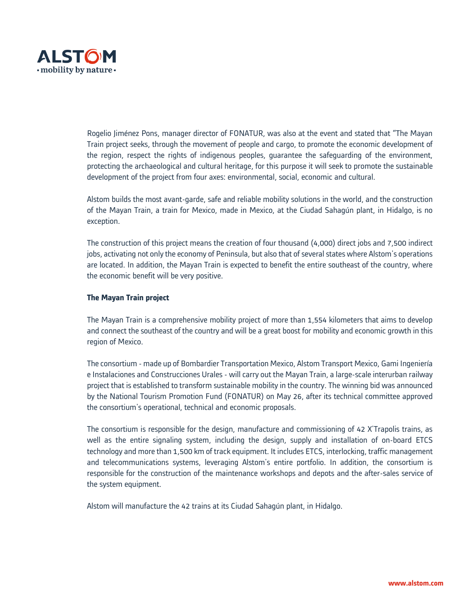

Rogelio Jiménez Pons, manager director of FONATUR, was also at the event and stated that "The Mayan Train project seeks, through the movement of people and cargo, to promote the economic development of the region, respect the rights of indigenous peoples, guarantee the safeguarding of the environment, protecting the archaeological and cultural heritage, for this purpose it will seek to promote the sustainable development of the project from four axes: environmental, social, economic and cultural.

Alstom builds the most avant-garde, safe and reliable mobility solutions in the world, and the construction of the Mayan Train, a train for Mexico, made in Mexico, at the Ciudad Sahagún plant, in Hidalgo, is no exception.

The construction of this project means the creation of four thousand (4,000) direct jobs and 7,500 indirect jobs, activating not only the economy of Peninsula, but also that of several states where Alstom's operations are located. In addition, the Mayan Train is expected to benefit the entire southeast of the country, where the economic benefit will be very positive.

## **The Mayan Train project**

The Mayan Train is a comprehensive mobility project of more than 1,554 kilometers that aims to develop and connect the southeast of the country and will be a great boost for mobility and economic growth in this region of Mexico.

The consortium - made up of Bombardier Transportation Mexico, Alstom Transport Mexico, Gami Ingeniería e Instalaciones and Construcciones Urales - will carry out the Mayan Train, a large-scale interurban railway project that is established to transform sustainable mobility in the country. The winning bid was announced by the National Tourism Promotion Fund (FONATUR) on May 26, after its technical committee approved the consortium's operational, technical and economic proposals.

The consortium is responsible for the design, manufacture and commissioning of 42 X'Trapolis trains, as well as the entire signaling system, including the design, supply and installation of on-board ETCS technology and more than 1,500 km of track equipment. It includes ETCS, interlocking, traffic management and telecommunications systems, leveraging Alstom's entire portfolio. In addition, the consortium is responsible for the construction of the maintenance workshops and depots and the after-sales service of the system equipment.

Alstom will manufacture the 42 trains at its Ciudad Sahagún plant, in Hidalgo.